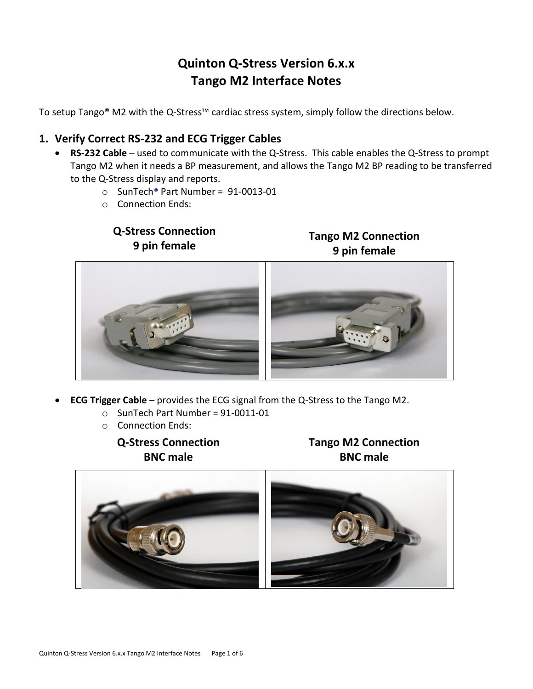# **Quinton Q-Stress Version 6.x.x Tango M2 Interface Notes**

To setup Tango® M2 with the Q-Stress™ cardiac stress system, simply follow the directions below.

### **1. Verify Correct RS-232 and ECG Trigger Cables**

- **RS-232 Cable** used to communicate with the Q-Stress. This cable enables the Q-Stress to prompt Tango M2 when it needs a BP measurement, and allows the Tango M2 BP reading to be transferred to the Q-Stress display and reports.
	- o SunTech® Part Number = 91-0013-01
	- o Connection Ends:

**Q-Stress Connection 9 pin female**

## **Tango M2 Connection 9 pin female**



- **ECG Trigger Cable** provides the ECG signal from the Q-Stress to the Tango M2.
	- $\circ$  SunTech Part Number = 91-0011-01
	- o Connection Ends:

**Q-Stress Connection BNC male**

**Tango M2 Connection BNC male**

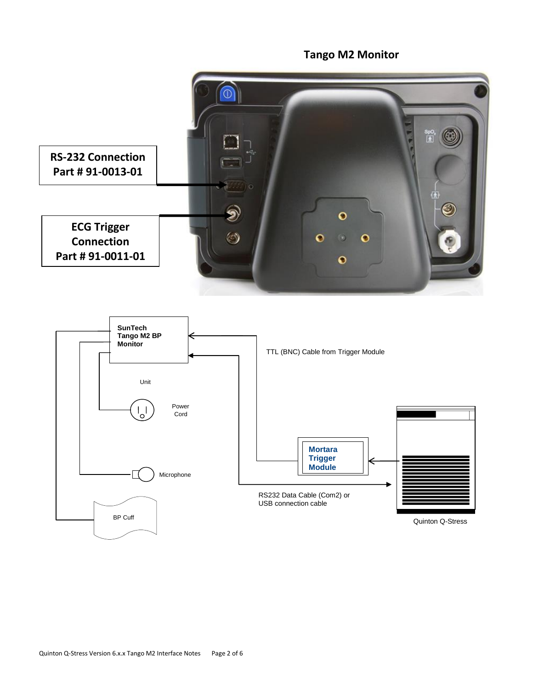## **Tango M2 Monitor**  $\overline{0}$ SpC<br>|★| **RS-232 Connection Part # 91-0013-01**  $\textcolor{blue}{\bullet}$  $\odot$  $\bullet$ **ECG Trigger**   $\circledcirc$  $\mathbf{o}$  $\bullet$ **Connection** o **Part # 91-0011-01** $\bullet$

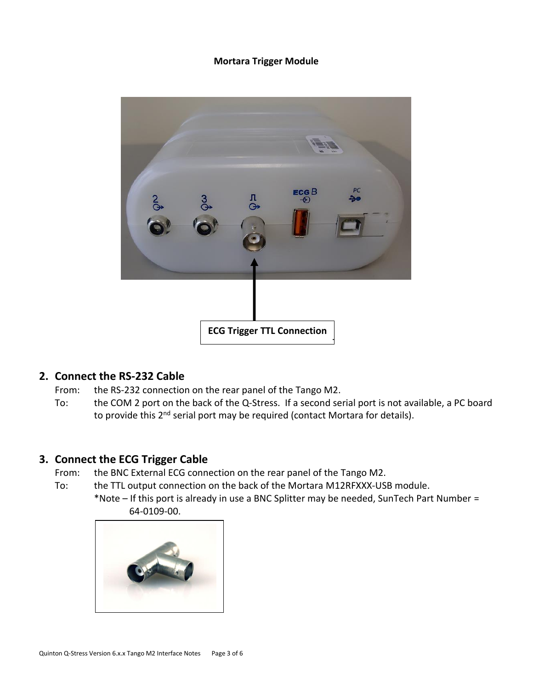#### **Mortara Trigger Module**



#### **2. Connect the RS-232 Cable**

- From: the RS-232 connection on the rear panel of the Tango M2.
- To: the COM 2 port on the back of the Q-Stress. If a second serial port is not available, a PC board G to provide this 2<sup>nd</sup> serial port may be required (contact Mortara for details).

### **3. Connect the ECG Trigger Cable**

- From: the BNC External ECG connection on the rear panel of the Tango M2.
- To: the TTL output connection on the back of the Mortara M12RFXXX-USB module.
	- \*Note If this port is already in use a BNC Splitter may be needed, SunTech Part Number = 64-0109-00.

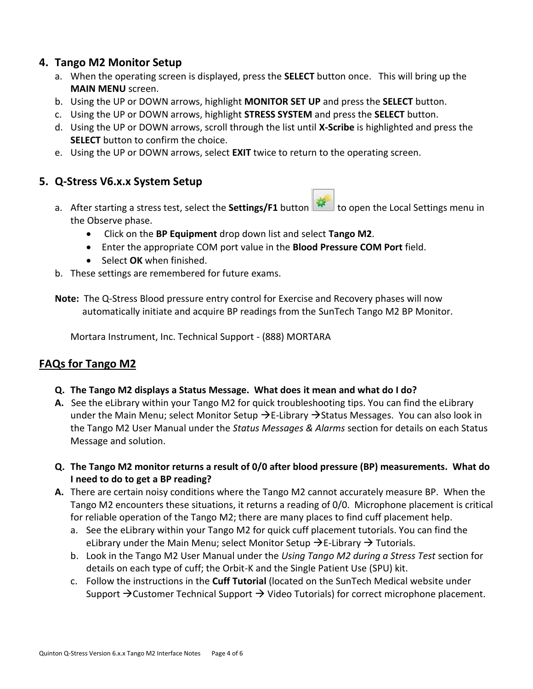### **4. Tango M2 Monitor Setup**

- a. When the operating screen is displayed, press the **SELECT** button once. This will bring up the **MAIN MENU** screen.
- b. Using the UP or DOWN arrows, highlight **MONITOR SET UP** and press the **SELECT** button.
- c. Using the UP or DOWN arrows, highlight **STRESS SYSTEM** and press the **SELECT** button.
- d. Using the UP or DOWN arrows, scroll through the list until **X-Scribe** is highlighted and press the **SELECT** button to confirm the choice.
- e. Using the UP or DOWN arrows, select **EXIT** twice to return to the operating screen.

### **5. Q-Stress V6.x.x System Setup**

- a. After starting a stress test, select the **Settings/F1** button **the degach open the Local Settings menu in** the Observe phase.
	- Click on the **BP Equipment** drop down list and select **Tango M2**.
	- Enter the appropriate COM port value in the **Blood Pressure COM Port** field.
	- Select **OK** when finished.
- b. These settings are remembered for future exams.
- **Note:** The Q-Stress Blood pressure entry control for Exercise and Recovery phases will now automatically initiate and acquire BP readings from the SunTech Tango M2 BP Monitor.

Mortara Instrument, Inc. Technical Support - (888) MORTARA

## **FAQs for Tango M2**

- **Q. The Tango M2 displays a Status Message. What does it mean and what do I do?**
- **A.** See the eLibrary within your Tango M2 for quick troubleshooting tips. You can find the eLibrary under the Main Menu; select Monitor Setup  $\rightarrow$  E-Library  $\rightarrow$  Status Messages. You can also look in the Tango M2 User Manual under the *Status Messages & Alarms* section for details on each Status Message and solution.
- **Q. The Tango M2 monitor returns a result of 0/0 after blood pressure (BP) measurements. What do I need to do to get a BP reading?**
- **A.** There are certain noisy conditions where the Tango M2 cannot accurately measure BP. When the Tango M2 encounters these situations, it returns a reading of 0/0. Microphone placement is critical for reliable operation of the Tango M2; there are many places to find cuff placement help.
	- a. See the eLibrary within your Tango M2 for quick cuff placement tutorials. You can find the eLibrary under the Main Menu; select Monitor Setup  $\rightarrow$  E-Library  $\rightarrow$  Tutorials.
	- b. Look in the Tango M2 User Manual under the *Using Tango M2 during a Stress Test* section for details on each type of cuff; the Orbit-K and the Single Patient Use (SPU) kit.
	- c. Follow the instructions in the **Cuff Tutorial** (located on the SunTech Medical website under Support  $\rightarrow$  Customer Technical Support  $\rightarrow$  Video Tutorials) for correct microphone placement.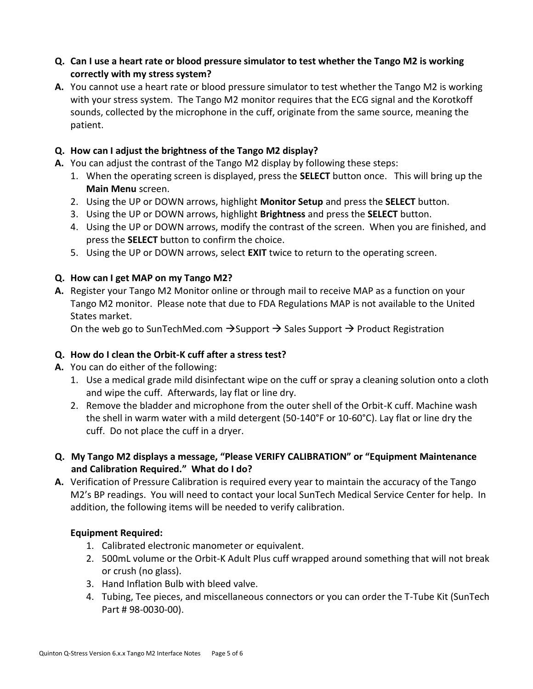- **Q. Can I use a heart rate or blood pressure simulator to test whether the Tango M2 is working correctly with my stress system?**
- **A.** You cannot use a heart rate or blood pressure simulator to test whether the Tango M2 is working with your stress system. The Tango M2 monitor requires that the ECG signal and the Korotkoff sounds, collected by the microphone in the cuff, originate from the same source, meaning the patient.

### **Q. How can I adjust the brightness of the Tango M2 display?**

- **A.** You can adjust the contrast of the Tango M2 display by following these steps:
	- 1. When the operating screen is displayed, press the **SELECT** button once. This will bring up the **Main Menu** screen.
	- 2. Using the UP or DOWN arrows, highlight **Monitor Setup** and press the **SELECT** button.
	- 3. Using the UP or DOWN arrows, highlight **Brightness** and press the **SELECT** button.
	- 4. Using the UP or DOWN arrows, modify the contrast of the screen. When you are finished, and press the **SELECT** button to confirm the choice.
	- 5. Using the UP or DOWN arrows, select **EXIT** twice to return to the operating screen.

### **Q. How can I get MAP on my Tango M2?**

**A.** Register your Tango M2 Monitor online or through mail to receive MAP as a function on your Tango M2 monitor. Please note that due to FDA Regulations MAP is not available to the United States market.

On the web go to SunTechMed.com  $\rightarrow$  Support  $\rightarrow$  Sales Support  $\rightarrow$  Product Registration

#### **Q. How do I clean the Orbit-K cuff after a stress test?**

- **A.** You can do either of the following:
	- 1. Use a medical grade mild disinfectant wipe on the cuff or spray a cleaning solution onto a cloth and wipe the cuff. Afterwards, lay flat or line dry.
	- 2. Remove the bladder and microphone from the outer shell of the Orbit-K cuff. Machine wash the shell in warm water with a mild detergent (50-140°F or 10-60°C). Lay flat or line dry the cuff. Do not place the cuff in a dryer.
- **Q. My Tango M2 displays a message, "Please VERIFY CALIBRATION" or "Equipment Maintenance and Calibration Required." What do I do?**
- **A.** Verification of Pressure Calibration is required every year to maintain the accuracy of the Tango M2's BP readings. You will need to contact your local SunTech Medical Service Center for help. In addition, the following items will be needed to verify calibration.

#### **Equipment Required:**

- 1. Calibrated electronic manometer or equivalent.
- 2. 500mL volume or the Orbit-K Adult Plus cuff wrapped around something that will not break or crush (no glass).
- 3. Hand Inflation Bulb with bleed valve.
- 4. Tubing, Tee pieces, and miscellaneous connectors or you can order the T-Tube Kit (SunTech Part # 98-0030-00).